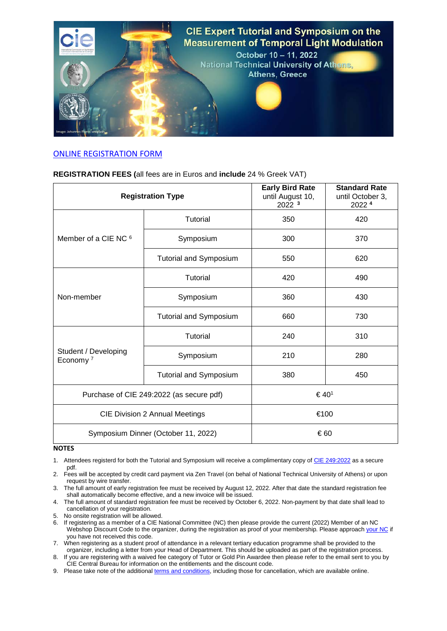

## [ONLINE REGISTRATION FORM](https://www.eventora.com/en/Events/cie-2022?c=e)

## **REGISTRATION FEES (**all fees are in Euros and **include** 24 % Greek VAT)

| <b>Registration Type</b>                     |                               | <b>Early Bird Rate</b><br>until August 10,<br>2022 3 | <b>Standard Rate</b><br>until October 3,<br>2022 4 |
|----------------------------------------------|-------------------------------|------------------------------------------------------|----------------------------------------------------|
| Member of a CIE NC $6$                       | Tutorial                      | 350                                                  | 420                                                |
|                                              | Symposium                     | 300                                                  | 370                                                |
|                                              | <b>Tutorial and Symposium</b> | 550                                                  | 620                                                |
| Non-member                                   | Tutorial                      | 420                                                  | 490                                                |
|                                              | Symposium                     | 360                                                  | 430                                                |
|                                              | <b>Tutorial and Symposium</b> | 660                                                  | 730                                                |
| Student / Developing<br>Economy <sup>7</sup> | Tutorial                      | 240                                                  | 310                                                |
|                                              | Symposium                     | 210                                                  | 280                                                |
|                                              | <b>Tutorial and Symposium</b> | 380                                                  | 450                                                |
| Purchase of CIE 249:2022 (as secure pdf)     |                               | €40 <sup>1</sup>                                     |                                                    |
| <b>CIE Division 2 Annual Meetings</b>        |                               | €100                                                 |                                                    |
| Symposium Dinner (October 11, 2022)          |                               | €60                                                  |                                                    |

## **NOTES**

1. Attendees registerd for both the Tutorial and Symposium will receive a complimentary copy of [CIE 249:2022](https://bit.ly/3F6pTaN) as a secure pdf.

2. Fees will be accepted by credit card payment via Zen Travel (on behal of National Technical University of Athens) or upon request by wire transfer.

3. The full amount of early registration fee must be received by August 12, 2022. After that date the standard registration fee shall automatically become effective, and a new invoice will be issued.

4. The full amount of standard registration fee must be received by October 6, 2022. Non-payment by that date shall lead to cancellation of your registration.

5. No onsite registration will be allowed.

6. If registering as a member of a CIE National Committee (NC) then please provide the current (2022) Member of an NC Webshop Discount Code to the organizer, during the registration as proof of your membership. Please approach [your NC](http://cie.co.at/about-cie/membership/national-committees) if you have not received this code.

7. When registering as a student proof of attendance in a relevant tertiary education programme shall be provided to the organizer, including a letter from your Head of Department. This should be uploaded as part of the registration process.

8. If you are registering with a waived fee category of Tutor or Gold Pin Awardee then please refer to the email sent to you by CIE Central Bureau for information on the entitlements and the discount code.

9. Please take note of the additiona[l terms and conditions,](https://files.cie.co.at/Terms_and%20_Conditions_for_TLM_event_registration.pdf) including those for cancellation, which are available online.